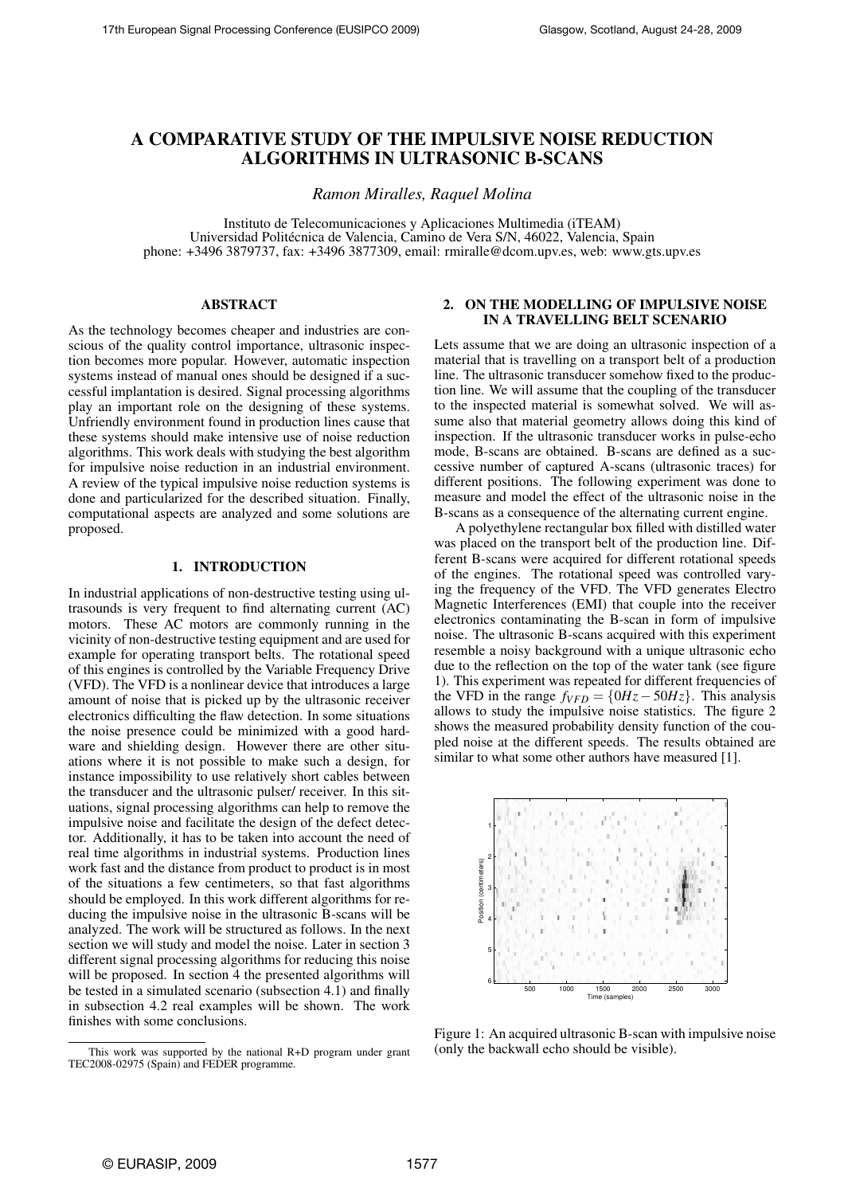# **A COMPARATIVE STUDY OF THE IMPULSIVE NOISE REDUCTION ALGORITHMS IN ULTRASONIC B-SCANS**

*Ramon Miralles, Raquel Molina*

Instituto de Telecomunicaciones y Aplicaciones Multimedia (iTEAM) Universidad Politécnica de Valencia, Camino de Vera S/N, 46022, Valencia, Spain phone: +3496 3879737, fax: +3496 3877309, email: rmiralle@dcom.upv.es, web: www.gts.upv.es

# **ABSTRACT**

As the technology becomes cheaper and industries are conscious of the quality control importance, ultrasonic inspection becomes more popular. However, automatic inspection systems instead of manual ones should be designed if a successful implantation is desired. Signal processing algorithms play an important role on the designing of these systems. Unfriendly environment found in production lines cause that these systems should make intensive use of noise reduction algorithms. This work deals with studying the best algorithm for impulsive noise reduction in an industrial environment. A review of the typical impulsive noise reduction systems is done and particularized for the described situation. Finally, computational aspects are analyzed and some solutions are proposed.

## **1. INTRODUCTION**

In industrial applications of non-destructive testing using ultrasounds is very frequent to find alternating current (AC) motors. These AC motors are commonly running in the vicinity of non-destructive testing equipment and are used for example for operating transport belts. The rotational speed of this engines is controlled by the Variable Frequency Drive (VFD). The VFD is a nonlinear device that introduces a large amount of noise that is picked up by the ultrasonic receiver electronics difficulting the flaw detection. In some situations the noise presence could be minimized with a good hardware and shielding design. However there are other situations where it is not possible to make such a design, for instance impossibility to use relatively short cables between the transducer and the ultrasonic pulser/ receiver. In this situations, signal processing algorithms can help to remove the impulsive noise and facilitate the design of the defect detector. Additionally, it has to be taken into account the need of real time algorithms in industrial systems. Production lines work fast and the distance from product to product is in most of the situations a few centimeters, so that fast algorithms should be employed. In this work different algorithms for reducing the impulsive noise in the ultrasonic B-scans will be analyzed. The work will be structured as follows. In the next section we will study and model the noise. Later in section 3 different signal processing algorithms for reducing this noise will be proposed. In section 4 the presented algorithms will be tested in a simulated scenario (subsection 4.1) and finally in subsection 4.2 real examples will be shown. The work finishes with some conclusions.

### **2. ON THE MODELLING OF IMPULSIVE NOISE IN A TRAVELLING BELT SCENARIO**

Lets assume that we are doing an ultrasonic inspection of a material that is travelling on a transport belt of a production line. The ultrasonic transducer somehow fixed to the production line. We will assume that the coupling of the transducer to the inspected material is somewhat solved. We will assume also that material geometry allows doing this kind of inspection. If the ultrasonic transducer works in pulse-echo mode, B-scans are obtained. B-scans are defined as a successive number of captured A-scans (ultrasonic traces) for different positions. The following experiment was done to measure and model the effect of the ultrasonic noise in the B-scans as a consequence of the alternating current engine.

A polyethylene rectangular box filled with distilled water was placed on the transport belt of the production line. Different B-scans were acquired for different rotational speeds of the engines. The rotational speed was controlled varying the frequency of the VFD. The VFD generates Electro Magnetic Interferences (EMI) that couple into the receiver electronics contaminating the B-scan in form of impulsive noise. The ultrasonic B-scans acquired with this experiment resemble a noisy background with a unique ultrasonic echo due to the reflection on the top of the water tank (see figure 1). This experiment was repeated for different frequencies of the VFD in the range  $f_{VFD} = \{0Hz - 50Hz\}$ . This analysis allows to study the impulsive noise statistics. The figure 2 shows the measured probability density function of the coupled noise at the different speeds. The results obtained are similar to what some other authors have measured [1].



Figure 1: An acquired ultrasonic B-scan with impulsive noise (only the backwall echo should be visible).

This work was supported by the national R+D program under grant TEC2008-02975 (Spain) and FEDER programme.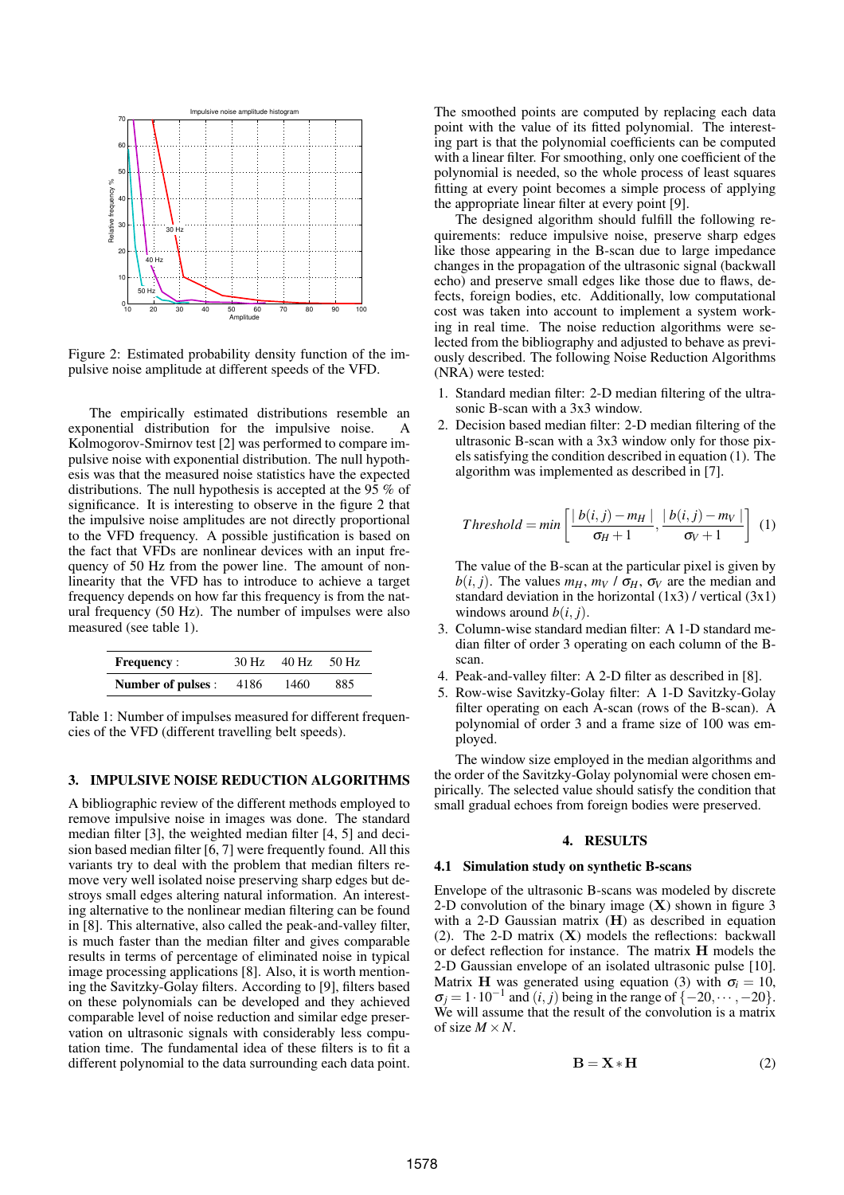

Figure 2: Estimated probability density function of the impulsive noise amplitude at different speeds of the VFD.

The empirically estimated distributions resemble an exponential distribution for the impulsive noise. A Kolmogorov-Smirnov test [2] was performed to compare impulsive noise with exponential distribution. The null hypothesis was that the measured noise statistics have the expected distributions. The null hypothesis is accepted at the 95 % of significance. It is interesting to observe in the figure 2 that the impulsive noise amplitudes are not directly proportional to the VFD frequency. A possible justification is based on the fact that VFDs are nonlinear devices with an input frequency of 50 Hz from the power line. The amount of nonlinearity that the VFD has to introduce to achieve a target frequency depends on how far this frequency is from the natural frequency (50 Hz). The number of impulses were also measured (see table 1).

| <b>Frequency:</b>  | 30 Hz | 40 Hz | 50 Hz |
|--------------------|-------|-------|-------|
| Number of pulses : | 4186  | 1460  | 885   |

Table 1: Number of impulses measured for different frequencies of the VFD (different travelling belt speeds).

#### **3. IMPULSIVE NOISE REDUCTION ALGORITHMS**

A bibliographic review of the different methods employed to remove impulsive noise in images was done. The standard median filter [3], the weighted median filter [4, 5] and decision based median filter [6, 7] were frequently found. All this variants try to deal with the problem that median filters remove very well isolated noise preserving sharp edges but destroys small edges altering natural information. An interesting alternative to the nonlinear median filtering can be found in [8]. This alternative, also called the peak-and-valley filter, is much faster than the median filter and gives comparable results in terms of percentage of eliminated noise in typical image processing applications [8]. Also, it is worth mentioning the Savitzky-Golay filters. According to [9], filters based on these polynomials can be developed and they achieved comparable level of noise reduction and similar edge preservation on ultrasonic signals with considerably less computation time. The fundamental idea of these filters is to fit a different polynomial to the data surrounding each data point.

The smoothed points are computed by replacing each data point with the value of its fitted polynomial. The interesting part is that the polynomial coefficients can be computed with a linear filter. For smoothing, only one coefficient of the polynomial is needed, so the whole process of least squares fitting at every point becomes a simple process of applying the appropriate linear filter at every point [9].

The designed algorithm should fulfill the following requirements: reduce impulsive noise, preserve sharp edges like those appearing in the B-scan due to large impedance changes in the propagation of the ultrasonic signal (backwall echo) and preserve small edges like those due to flaws, defects, foreign bodies, etc. Additionally, low computational cost was taken into account to implement a system working in real time. The noise reduction algorithms were selected from the bibliography and adjusted to behave as previously described. The following Noise Reduction Algorithms (NRA) were tested:

- 1. Standard median filter: 2-D median filtering of the ultrasonic B-scan with a 3x3 window.
- 2. Decision based median filter: 2-D median filtering of the ultrasonic B-scan with a 3x3 window only for those pixels satisfying the condition described in equation (1). The algorithm was implemented as described in [7].

$$
Threshold = min\left[\frac{|b(i,j) - m_H|}{\sigma_H + 1}, \frac{|b(i,j) - m_V|}{\sigma_V + 1}\right] \tag{1}
$$

The value of the B-scan at the particular pixel is given by  $b(i, j)$ . The values  $m_H$ ,  $m_V / \sigma_H$ ,  $\sigma_V$  are the median and standard deviation in the horizontal  $(1x3)$  / vertical  $(3x1)$ windows around  $b(i, j)$ .

- 3. Column-wise standard median filter: A 1-D standard median filter of order 3 operating on each column of the Bscan.
- 4. Peak-and-valley filter: A 2-D filter as described in [8].
- 5. Row-wise Savitzky-Golay filter: A 1-D Savitzky-Golay filter operating on each A-scan (rows of the B-scan). A polynomial of order 3 and a frame size of 100 was employed.

The window size employed in the median algorithms and the order of the Savitzky-Golay polynomial were chosen empirically. The selected value should satisfy the condition that small gradual echoes from foreign bodies were preserved.

#### **4. RESULTS**

#### **4.1 Simulation study on synthetic B-scans**

Envelope of the ultrasonic B-scans was modeled by discrete 2-D convolution of the binary image  $(X)$  shown in figure 3 with a 2-D Gaussian matrix (H) as described in equation (2). The 2-D matrix  $(X)$  models the reflections: backwall or defect reflection for instance. The matrix H models the 2-D Gaussian envelope of an isolated ultrasonic pulse [10]. Matrix H was generated using equation (3) with  $\sigma_i = 10$ ,  $\sigma_j = 1 \cdot 10^{-1}$  and  $(i, j)$  being in the range of  $\{-20, \dots, -20\}$ . We will assume that the result of the convolution is a matrix of size  $M \times N$ .

$$
\mathbf{B} = \mathbf{X} * \mathbf{H} \tag{2}
$$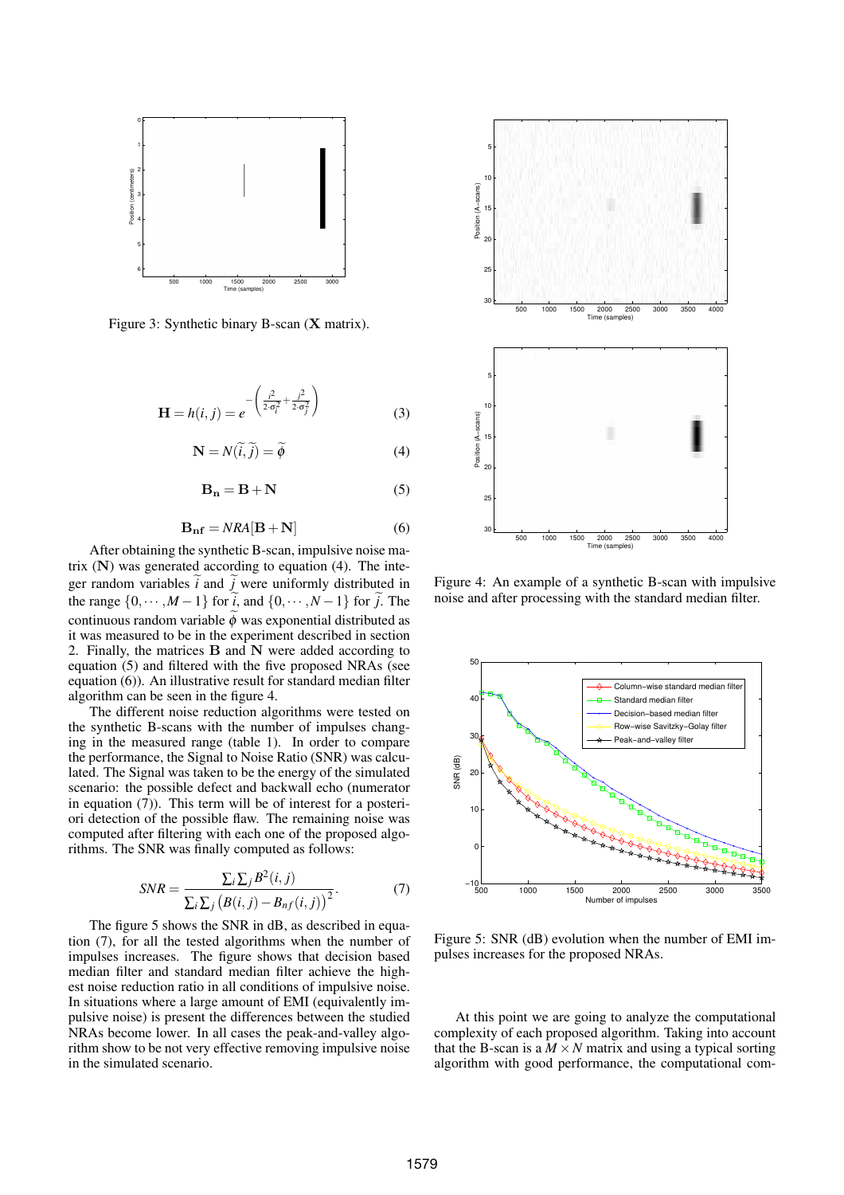

Figure 3: Synthetic binary B-scan (X matrix).

$$
\mathbf{H} = h(i, j) = e^{-\left(\frac{i^2}{2\sigma_i^2} + \frac{j^2}{2\sigma_j^2}\right)}
$$
(3)

$$
\mathbf{N} = N(\tilde{i}, \tilde{j}) = \tilde{\phi}
$$
 (4)

$$
\mathbf{B_n} = \mathbf{B} + \mathbf{N} \tag{5}
$$

$$
\mathbf{B_{nf}} = NRA[\mathbf{B} + \mathbf{N}] \tag{6}
$$

After obtaining the synthetic B-scan, impulsive noise matrix (N) was generated according to equation (4). The integer random variables  $\tilde{i}$  and  $\tilde{j}$  were uniformly distributed in the range  $\{0, \dots, M-1\}$  for  $\tilde{i}$ , and  $\{0, \dots, N-1\}$  for  $\tilde{j}$ . The continuous random variable  $\phi$  was exponential distributed as it was measured to be in the experiment described in section 2. Finally, the matrices B and N were added according to equation (5) and filtered with the five proposed NRAs (see equation (6)). An illustrative result for standard median filter algorithm can be seen in the figure 4.

The different noise reduction algorithms were tested on the synthetic B-scans with the number of impulses changing in the measured range (table 1). In order to compare the performance, the Signal to Noise Ratio (SNR) was calculated. The Signal was taken to be the energy of the simulated scenario: the possible defect and backwall echo (numerator in equation (7)). This term will be of interest for a posteriori detection of the possible flaw. The remaining noise was computed after filtering with each one of the proposed algorithms. The SNR was finally computed as follows:

$$
SNR = \frac{\sum_{i} \sum_{j} B^{2}(i, j)}{\sum_{i} \sum_{j} (B(i, j) - B_{nf}(i, j))^{2}}.
$$
 (7)

The figure 5 shows the SNR in dB, as described in equation (7), for all the tested algorithms when the number of impulses increases. The figure shows that decision based median filter and standard median filter achieve the highest noise reduction ratio in all conditions of impulsive noise. In situations where a large amount of EMI (equivalently impulsive noise) is present the differences between the studied NRAs become lower. In all cases the peak-and-valley algorithm show to be not very effective removing impulsive noise in the simulated scenario.



Figure 4: An example of a synthetic B-scan with impulsive noise and after processing with the standard median filter.



Figure 5: SNR (dB) evolution when the number of EMI impulses increases for the proposed NRAs.

At this point we are going to analyze the computational complexity of each proposed algorithm. Taking into account that the B-scan is a  $M \times N$  matrix and using a typical sorting algorithm with good performance, the computational com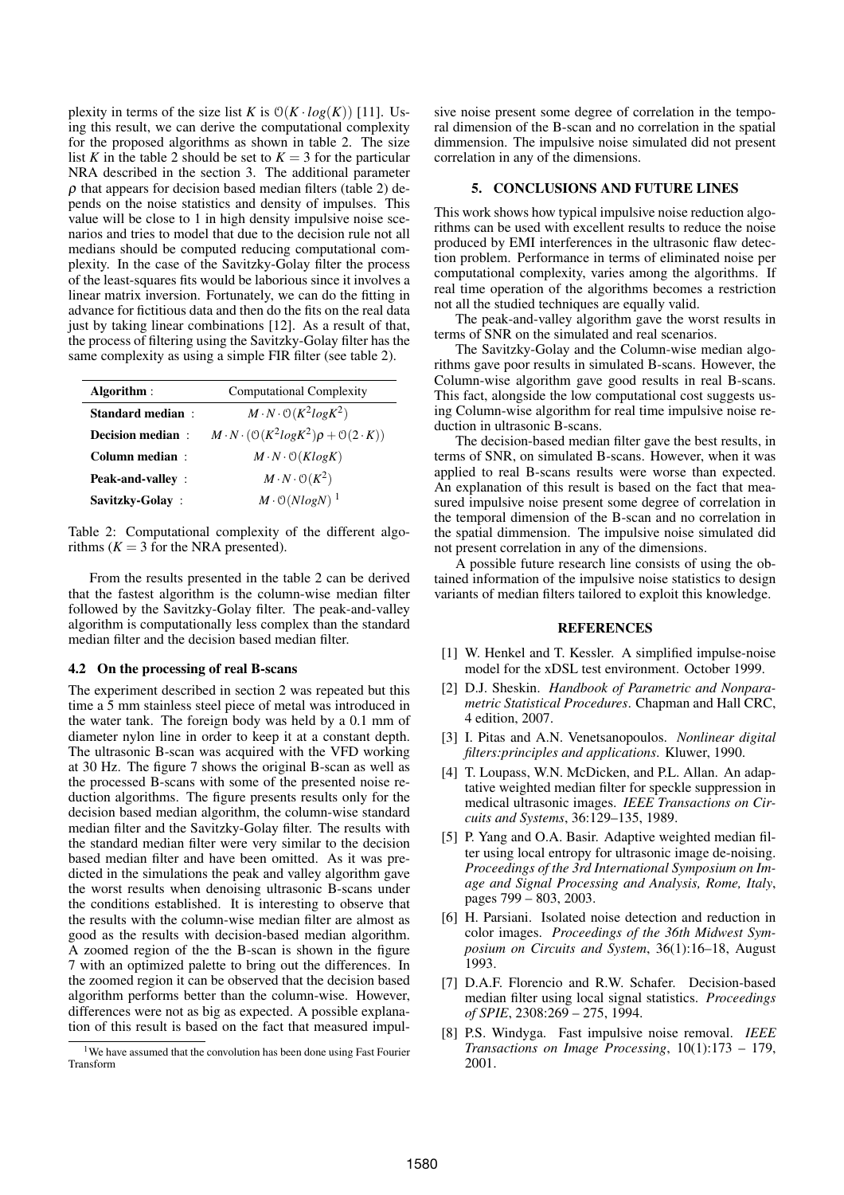plexity in terms of the size list *K* is  $O(K \cdot log(K))$  [11]. Using this result, we can derive the computational complexity for the proposed algorithms as shown in table 2. The size list *K* in the table 2 should be set to  $K = 3$  for the particular NRA described in the section 3. The additional parameter  $\rho$  that appears for decision based median filters (table 2) depends on the noise statistics and density of impulses. This value will be close to 1 in high density impulsive noise scenarios and tries to model that due to the decision rule not all medians should be computed reducing computational complexity. In the case of the Savitzky-Golay filter the process of the least-squares fits would be laborious since it involves a linear matrix inversion. Fortunately, we can do the fitting in advance for fictitious data and then do the fits on the real data just by taking linear combinations [12]. As a result of that, the process of filtering using the Savitzky-Golay filter has the same complexity as using a simple FIR filter (see table 2).

| Algorithm:              | <b>Computational Complexity</b>                                            |  |
|-------------------------|----------------------------------------------------------------------------|--|
| <b>Standard median:</b> | $M \cdot N \cdot \mathcal{O}(K^2 log K^2)$                                 |  |
| Decision median:        | $M \cdot N \cdot (\mathcal{O}(K^2 log K^2) \rho + \mathcal{O}(2 \cdot K))$ |  |
| Column median:          | $M \cdot N \cdot \mathcal{O}(KlogK)$                                       |  |
| <b>Peak-and-valley:</b> | $M \cdot N \cdot \mathcal{O}(K^2)$                                         |  |
| Savitzky-Golay:         | $M \cdot \mathcal{O}(NlogN)^{-1}$                                          |  |

Table 2: Computational complexity of the different algorithms  $(K = 3$  for the NRA presented).

From the results presented in the table 2 can be derived that the fastest algorithm is the column-wise median filter followed by the Savitzky-Golay filter. The peak-and-valley algorithm is computationally less complex than the standard median filter and the decision based median filter.

### **4.2 On the processing of real B-scans**

The experiment described in section 2 was repeated but this time a 5 mm stainless steel piece of metal was introduced in the water tank. The foreign body was held by a 0.1 mm of diameter nylon line in order to keep it at a constant depth. The ultrasonic B-scan was acquired with the VFD working at 30 Hz. The figure 7 shows the original B-scan as well as the processed B-scans with some of the presented noise reduction algorithms. The figure presents results only for the decision based median algorithm, the column-wise standard median filter and the Savitzky-Golay filter. The results with the standard median filter were very similar to the decision based median filter and have been omitted. As it was predicted in the simulations the peak and valley algorithm gave the worst results when denoising ultrasonic B-scans under the conditions established. It is interesting to observe that the results with the column-wise median filter are almost as good as the results with decision-based median algorithm. A zoomed region of the the B-scan is shown in the figure 7 with an optimized palette to bring out the differences. In the zoomed region it can be observed that the decision based algorithm performs better than the column-wise. However, differences were not as big as expected. A possible explanation of this result is based on the fact that measured impulsive noise present some degree of correlation in the temporal dimension of the B-scan and no correlation in the spatial dimmension. The impulsive noise simulated did not present correlation in any of the dimensions.

#### **5. CONCLUSIONS AND FUTURE LINES**

This work shows how typical impulsive noise reduction algorithms can be used with excellent results to reduce the noise produced by EMI interferences in the ultrasonic flaw detection problem. Performance in terms of eliminated noise per computational complexity, varies among the algorithms. If real time operation of the algorithms becomes a restriction not all the studied techniques are equally valid.

The peak-and-valley algorithm gave the worst results in terms of SNR on the simulated and real scenarios.

The Savitzky-Golay and the Column-wise median algorithms gave poor results in simulated B-scans. However, the Column-wise algorithm gave good results in real B-scans. This fact, alongside the low computational cost suggests using Column-wise algorithm for real time impulsive noise reduction in ultrasonic B-scans.

The decision-based median filter gave the best results, in terms of SNR, on simulated B-scans. However, when it was applied to real B-scans results were worse than expected. An explanation of this result is based on the fact that measured impulsive noise present some degree of correlation in the temporal dimension of the B-scan and no correlation in the spatial dimmension. The impulsive noise simulated did not present correlation in any of the dimensions.

A possible future research line consists of using the obtained information of the impulsive noise statistics to design variants of median filters tailored to exploit this knowledge.

#### **REFERENCES**

- [1] W. Henkel and T. Kessler. A simplified impulse-noise model for the xDSL test environment. October 1999.
- [2] D.J. Sheskin. *Handbook of Parametric and Nonparametric Statistical Procedures*. Chapman and Hall CRC, 4 edition, 2007.
- [3] I. Pitas and A.N. Venetsanopoulos. *Nonlinear digital filters:principles and applications*. Kluwer, 1990.
- [4] T. Loupass, W.N. McDicken, and P.L. Allan. An adaptative weighted median filter for speckle suppression in medical ultrasonic images. *IEEE Transactions on Circuits and Systems*, 36:129–135, 1989.
- [5] P. Yang and O.A. Basir. Adaptive weighted median filter using local entropy for ultrasonic image de-noising. *Proceedings of the 3rd International Symposium on Image and Signal Processing and Analysis, Rome, Italy*, pages 799 – 803, 2003.
- [6] H. Parsiani. Isolated noise detection and reduction in color images. *Proceedings of the 36th Midwest Symposium on Circuits and System*, 36(1):16–18, August 1993.
- [7] D.A.F. Florencio and R.W. Schafer. Decision-based median filter using local signal statistics. *Proceedings of SPIE*, 2308:269 – 275, 1994.
- [8] P.S. Windyga. Fast impulsive noise removal. *IEEE Transactions on Image Processing*, 10(1):173 – 179, 2001.

 $1$ We have assumed that the convolution has been done using Fast Fourier Transform